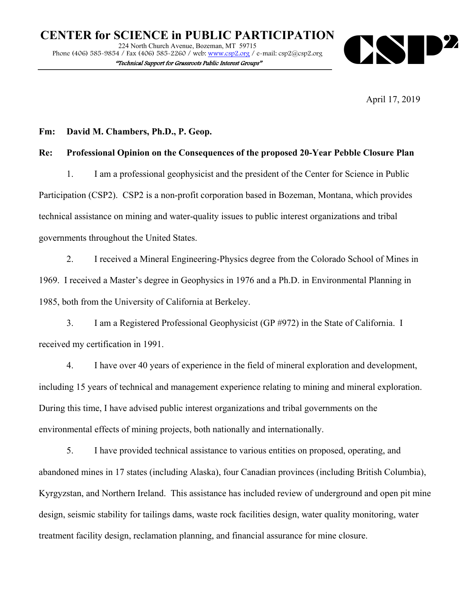

April 17, 2019

## **Fm: David M. Chambers, Ph.D., P. Geop.**

# **Re: Professional Opinion on the Consequences of the proposed 20-Year Pebble Closure Plan**

1. I am a professional geophysicist and the president of the Center for Science in Public Participation (CSP2). CSP2 is a non-profit corporation based in Bozeman, Montana, which provides technical assistance on mining and water-quality issues to public interest organizations and tribal governments throughout the United States.

2. I received a Mineral Engineering-Physics degree from the Colorado School of Mines in 1969. I received a Master's degree in Geophysics in 1976 and a Ph.D. in Environmental Planning in 1985, both from the University of California at Berkeley.

3. I am a Registered Professional Geophysicist (GP #972) in the State of California. I received my certification in 1991.

4. I have over 40 years of experience in the field of mineral exploration and development, including 15 years of technical and management experience relating to mining and mineral exploration. During this time, I have advised public interest organizations and tribal governments on the environmental effects of mining projects, both nationally and internationally.

5. I have provided technical assistance to various entities on proposed, operating, and abandoned mines in 17 states (including Alaska), four Canadian provinces (including British Columbia), Kyrgyzstan, and Northern Ireland. This assistance has included review of underground and open pit mine design, seismic stability for tailings dams, waste rock facilities design, water quality monitoring, water treatment facility design, reclamation planning, and financial assurance for mine closure.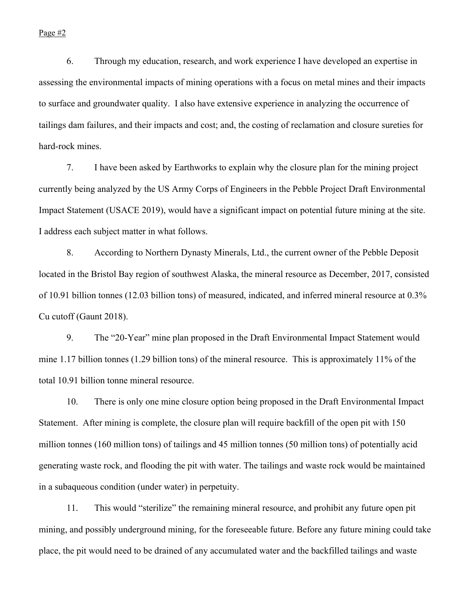#### Page #2

6. Through my education, research, and work experience I have developed an expertise in assessing the environmental impacts of mining operations with a focus on metal mines and their impacts to surface and groundwater quality. I also have extensive experience in analyzing the occurrence of tailings dam failures, and their impacts and cost; and, the costing of reclamation and closure sureties for hard-rock mines.

7. I have been asked by Earthworks to explain why the closure plan for the mining project currently being analyzed by the US Army Corps of Engineers in the Pebble Project Draft Environmental Impact Statement (USACE 2019), would have a significant impact on potential future mining at the site. I address each subject matter in what follows.

8. According to Northern Dynasty Minerals, Ltd., the current owner of the Pebble Deposit located in the Bristol Bay region of southwest Alaska, the mineral resource as December, 2017, consisted of 10.91 billion tonnes (12.03 billion tons) of measured, indicated, and inferred mineral resource at 0.3% Cu cutoff (Gaunt 2018).

9. The "20-Year" mine plan proposed in the Draft Environmental Impact Statement would mine 1.17 billion tonnes (1.29 billion tons) of the mineral resource. This is approximately 11% of the total 10.91 billion tonne mineral resource.

10. There is only one mine closure option being proposed in the Draft Environmental Impact Statement. After mining is complete, the closure plan will require backfill of the open pit with 150 million tonnes (160 million tons) of tailings and 45 million tonnes (50 million tons) of potentially acid generating waste rock, and flooding the pit with water. The tailings and waste rock would be maintained in a subaqueous condition (under water) in perpetuity.

11. This would "sterilize" the remaining mineral resource, and prohibit any future open pit mining, and possibly underground mining, for the foreseeable future. Before any future mining could take place, the pit would need to be drained of any accumulated water and the backfilled tailings and waste